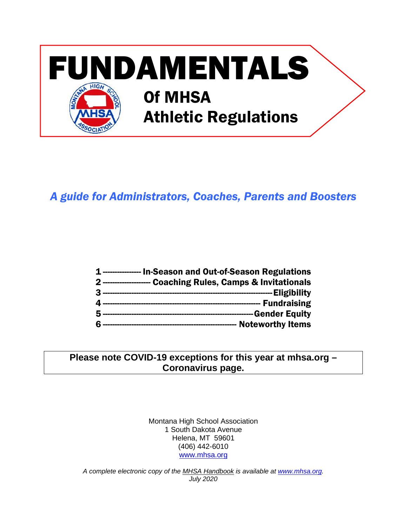

# *A guide for Administrators, Coaches, Parents and Boosters*

| 1---------------- In-Season and Out-of-Season Regulations    |
|--------------------------------------------------------------|
| 2 -------------------- Coaching Rules, Camps & Invitationals |
|                                                              |
|                                                              |
|                                                              |
|                                                              |

# **Please note COVID-19 exceptions for this year at mhsa.org – Coronavirus page.**

Montana High School Association 1 South Dakota Avenue Helena, MT 59601 (406) 442-6010 [www.mhsa.org](http://www.mhsa.org/)

*A complete electronic copy of the MHSA Handbook is available at [www.mhsa.org.](http://www.mhsa.org/) July 2020*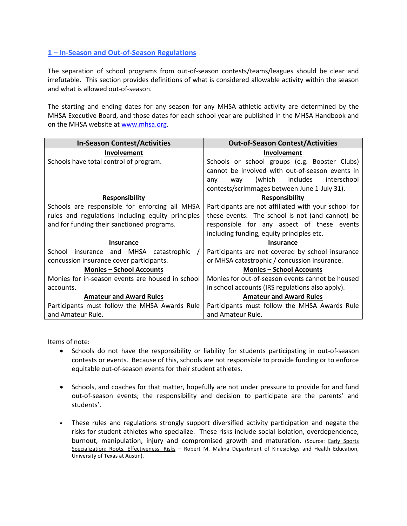# **1 – In-Season and Out-of-Season Regulations**

The separation of school programs from out-of-season contests/teams/leagues should be clear and irrefutable. This section provides definitions of what is considered allowable activity within the season and what is allowed out-of-season.

The starting and ending dates for any season for any MHSA athletic activity are determined by the MHSA Executive Board, and those dates for each school year are published in the MHSA Handbook and on the MHSA website a[t www.mhsa.org.](http://www.mhsa.org/)

| <b>In-Season Contest/Activities</b>               | <b>Out-of-Season Contest/Activities</b>              |
|---------------------------------------------------|------------------------------------------------------|
| <b>Involvement</b>                                | Involvement                                          |
| Schools have total control of program.            | Schools or school groups (e.g. Booster Clubs)        |
|                                                   | cannot be involved with out-of-season events in      |
|                                                   | (which includes<br>interschool<br>way<br>any         |
|                                                   | contests/scrimmages between June 1-July 31).         |
| <b>Responsibility</b>                             | <b>Responsibility</b>                                |
| Schools are responsible for enforcing all MHSA    | Participants are not affiliated with your school for |
| rules and regulations including equity principles | these events. The school is not (and cannot) be      |
| and for funding their sanctioned programs.        | responsible for any aspect of these events           |
|                                                   | including funding, equity principles etc.            |
| <b>Insurance</b>                                  | <b>Insurance</b>                                     |
| School insurance and MHSA catastrophic            | Participants are not covered by school insurance     |
| concussion insurance cover participants.          | or MHSA catastrophic / concussion insurance.         |
| <b>Monies - School Accounts</b>                   | <b>Monies - School Accounts</b>                      |
| Monies for in-season events are housed in school  | Monies for out-of-season events cannot be housed     |
| accounts.                                         | in school accounts (IRS regulations also apply).     |
| <b>Amateur and Award Rules</b>                    | <b>Amateur and Award Rules</b>                       |
| Participants must follow the MHSA Awards Rule     | Participants must follow the MHSA Awards Rule        |
| and Amateur Rule.                                 | and Amateur Rule.                                    |

Items of note:

- Schools do not have the responsibility or liability for students participating in out-of-season contests or events. Because of this, schools are not responsible to provide funding or to enforce equitable out-of-season events for their student athletes.
- Schools, and coaches for that matter, hopefully are not under pressure to provide for and fund out-of-season events; the responsibility and decision to participate are the parents' and students'.
- These rules and regulations strongly support diversified activity participation and negate the risks for student athletes who specialize. These risks include social isolation, overdependence, burnout, manipulation, injury and compromised growth and maturation. (Source: Early Sports Specialization: Roots, Effectiveness, Risks - Robert M. Malina Department of Kinesiology and Health Education, University of Texas at Austin).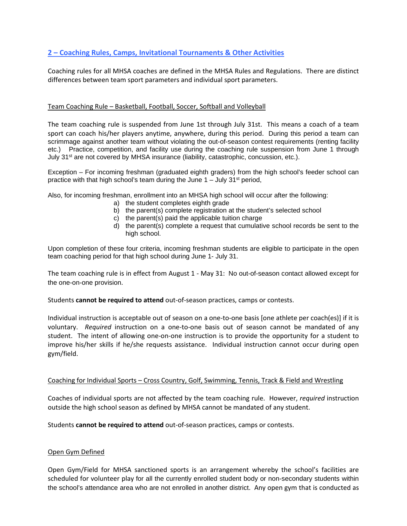# **2 – Coaching Rules, Camps, Invitational Tournaments & Other Activities**

Coaching rules for all MHSA coaches are defined in the MHSA Rules and Regulations. There are distinct differences between team sport parameters and individual sport parameters.

#### Team Coaching Rule – Basketball, Football, Soccer, Softball and Volleyball

The team coaching rule is suspended from June 1st through July 31st. This means a coach of a team sport can coach his/her players anytime, anywhere, during this period. During this period a team can scrimmage against another team without violating the out-of-season contest requirements (renting facility etc.) Practice, competition, and facility use during the coaching rule suspension from June 1 through July 31<sup>st</sup> are not covered by MHSA insurance (liability, catastrophic, concussion, etc.).

Exception – For incoming freshman (graduated eighth graders) from the high school's feeder school can practice with that high school's team during the June  $1 -$  July 31<sup>st</sup> period,

Also, for incoming freshman, enrollment into an MHSA high school will occur after the following:

- a) the student completes eighth grade
- b) the parent(s) complete registration at the student's selected school
- c) the parent(s) paid the applicable tuition charge
- d) the parent(s) complete a request that cumulative school records be sent to the high school.

Upon completion of these four criteria, incoming freshman students are eligible to participate in the open team coaching period for that high school during June 1- July 31.

The team coaching rule is in effect from August 1 - May 31: No out-of-season contact allowed except for the one-on-one provision.

Students **cannot be required to attend** out-of-season practices, camps or contests.

Individual instruction is acceptable out of season on a one-to-one basis [one athlete per coach(es)] if it is voluntary. *Required* instruction on a one-to-one basis out of season cannot be mandated of any student. The intent of allowing one-on-one instruction is to provide the opportunity for a student to improve his/her skills if he/she requests assistance. Individual instruction cannot occur during open gym/field.

#### Coaching for Individual Sports – Cross Country, Golf, Swimming, Tennis, Track & Field and Wrestling

Coaches of individual sports are not affected by the team coaching rule. However, *required* instruction outside the high school season as defined by MHSA cannot be mandated of any student.

Students **cannot be required to attend** out-of-season practices, camps or contests.

#### Open Gym Defined

Open Gym/Field for MHSA sanctioned sports is an arrangement whereby the school's facilities are scheduled for volunteer play for all the currently enrolled student body or non-secondary students within the school's attendance area who are not enrolled in another district. Any open gym that is conducted as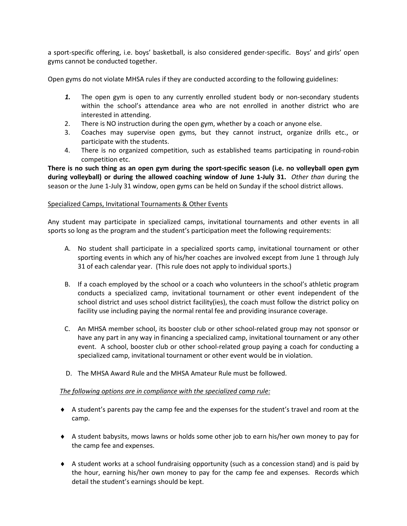a sport-specific offering, i.e. boys' basketball, is also considered gender-specific. Boys' and girls' open gyms cannot be conducted together.

Open gyms do not violate MHSA rules if they are conducted according to the following guidelines:

- *1.* The open gym is open to any currently enrolled student body or non-secondary students within the school's attendance area who are not enrolled in another district who are interested in attending.
- 2. There is NO instruction during the open gym, whether by a coach or anyone else.
- 3. Coaches may supervise open gyms, but they cannot instruct, organize drills etc., or participate with the students.
- 4. There is no organized competition, such as established teams participating in round-robin competition etc.

**There is no such thing as an open gym during the sport-specific season (i.e. no volleyball open gym during volleyball) or during the allowed coaching window of June 1-July 31.** *Other than* during the season or the June 1-July 31 window, open gyms can be held on Sunday if the school district allows.

#### Specialized Camps, Invitational Tournaments & Other Events

Any student may participate in specialized camps, invitational tournaments and other events in all sports so long as the program and the student's participation meet the following requirements:

- A. No student shall participate in a specialized sports camp, invitational tournament or other sporting events in which any of his/her coaches are involved except from June 1 through July 31 of each calendar year. (This rule does not apply to individual sports.)
- B. If a coach employed by the school or a coach who volunteers in the school's athletic program conducts a specialized camp, invitational tournament or other event independent of the school district and uses school district facility(ies), the coach must follow the district policy on facility use including paying the normal rental fee and providing insurance coverage.
- C. An MHSA member school, its booster club or other school-related group may not sponsor or have any part in any way in financing a specialized camp, invitational tournament or any other event. A school, booster club or other school-related group paying a coach for conducting a specialized camp, invitational tournament or other event would be in violation.
- D. The MHSA Award Rule and the MHSA Amateur Rule must be followed.

# *The following options are in compliance with the specialized camp rule:*

- ♦ A student's parents pay the camp fee and the expenses for the student's travel and room at the camp.
- ♦ A student babysits, mows lawns or holds some other job to earn his/her own money to pay for the camp fee and expenses.
- ♦ A student works at a school fundraising opportunity (such as a concession stand) and is paid by the hour, earning his/her own money to pay for the camp fee and expenses. Records which detail the student's earnings should be kept.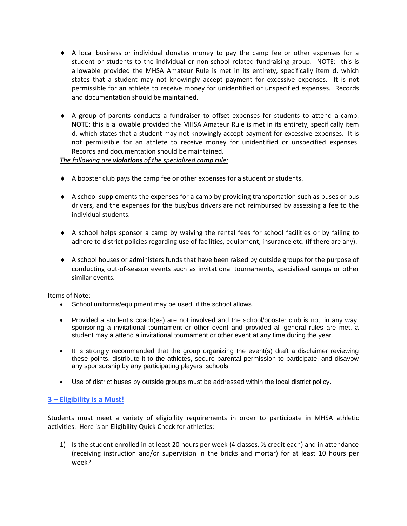- ♦ A local business or individual donates money to pay the camp fee or other expenses for a student or students to the individual or non-school related fundraising group. NOTE: this is allowable provided the MHSA Amateur Rule is met in its entirety, specifically item d. which states that a student may not knowingly accept payment for excessive expenses. It is not permissible for an athlete to receive money for unidentified or unspecified expenses. Records and documentation should be maintained.
- ♦ A group of parents conducts a fundraiser to offset expenses for students to attend a camp. NOTE: this is allowable provided the MHSA Amateur Rule is met in its entirety, specifically item d. which states that a student may not knowingly accept payment for excessive expenses. It is not permissible for an athlete to receive money for unidentified or unspecified expenses. Records and documentation should be maintained.

*The following are violations of the specialized camp rule:*

- ♦ A booster club pays the camp fee or other expenses for a student or students.
- ♦ A school supplements the expenses for a camp by providing transportation such as buses or bus drivers, and the expenses for the bus/bus drivers are not reimbursed by assessing a fee to the individual students.
- ♦ A school helps sponsor a camp by waiving the rental fees for school facilities or by failing to adhere to district policies regarding use of facilities, equipment, insurance etc. (if there are any).
- ♦ A school houses or administers funds that have been raised by outside groups for the purpose of conducting out-of-season events such as invitational tournaments, specialized camps or other similar events.

Items of Note:

- School uniforms/equipment may be used, if the school allows.
- Provided a student's coach(es) are not involved and the school/booster club is not, in any way, sponsoring a invitational tournament or other event and provided all general rules are met, a student may a attend a invitational tournament or other event at any time during the year.
- It is strongly recommended that the group organizing the event(s) draft a disclaimer reviewing these points, distribute it to the athletes, secure parental permission to participate, and disavow any sponsorship by any participating players' schools.
- Use of district buses by outside groups must be addressed within the local district policy.

# **3 – Eligibility is a Must!**

Students must meet a variety of eligibility requirements in order to participate in MHSA athletic activities. Here is an Eligibility Quick Check for athletics:

1) Is the student enrolled in at least 20 hours per week (4 classes,  $\frac{1}{2}$  credit each) and in attendance (receiving instruction and/or supervision in the bricks and mortar) for at least 10 hours per week?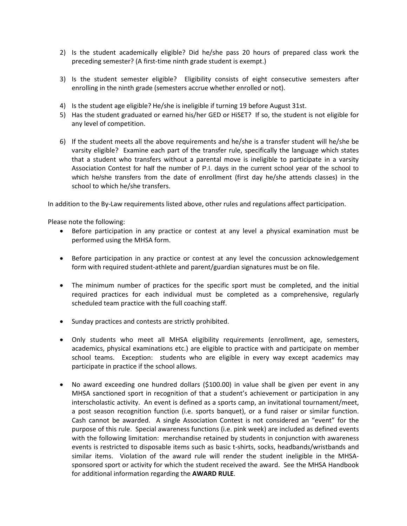- 2) Is the student academically eligible? Did he/she pass 20 hours of prepared class work the preceding semester? (A first-time ninth grade student is exempt.)
- 3) Is the student semester eligible? Eligibility consists of eight consecutive semesters after enrolling in the ninth grade (semesters accrue whether enrolled or not).
- 4) Is the student age eligible? He/she is ineligible if turning 19 before August 31st.
- 5) Has the student graduated or earned his/her GED or HiSET? If so, the student is not eligible for any level of competition.
- 6) If the student meets all the above requirements and he/she is a transfer student will he/she be varsity eligible? Examine each part of the transfer rule, specifically the language which states that a student who transfers without a parental move is ineligible to participate in a varsity Association Contest for half the number of P.I. days in the current school year of the school to which he/she transfers from the date of enrollment (first day he/she attends classes) in the school to which he/she transfers.

In addition to the By-Law requirements listed above, other rules and regulations affect participation.

Please note the following:

- Before participation in any practice or contest at any level a physical examination must be performed using the MHSA form.
- Before participation in any practice or contest at any level the concussion acknowledgement form with required student-athlete and parent/guardian signatures must be on file.
- The minimum number of practices for the specific sport must be completed, and the initial required practices for each individual must be completed as a comprehensive, regularly scheduled team practice with the full coaching staff.
- Sunday practices and contests are strictly prohibited.
- Only students who meet all MHSA eligibility requirements (enrollment, age, semesters, academics, physical examinations etc.) are eligible to practice with and participate on member school teams. Exception: students who are eligible in every way except academics may participate in practice if the school allows.
- No award exceeding one hundred dollars (\$100.00) in value shall be given per event in any MHSA sanctioned sport in recognition of that a student's achievement or participation in any interscholastic activity. An event is defined as a sports camp, an invitational tournament/meet, a post season recognition function (i.e. sports banquet), or a fund raiser or similar function. Cash cannot be awarded. A single Association Contest is not considered an "event" for the purpose of this rule. Special awareness functions (i.e. pink week) are included as defined events with the following limitation: merchandise retained by students in conjunction with awareness events is restricted to disposable items such as basic t-shirts, socks, headbands/wristbands and similar items. Violation of the award rule will render the student ineligible in the MHSAsponsored sport or activity for which the student received the award. See the MHSA Handbook for additional information regarding the **AWARD RULE**.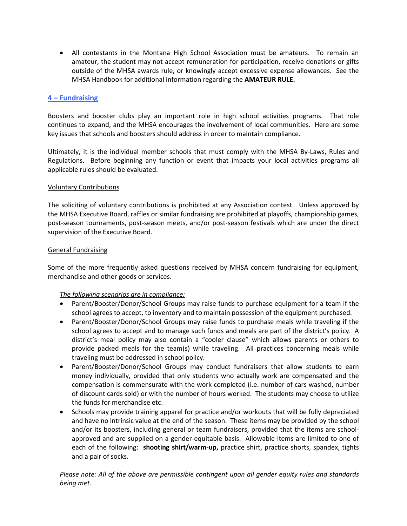• All contestants in the Montana High School Association must be amateurs. To remain an amateur, the student may not accept remuneration for participation, receive donations or gifts outside of the MHSA awards rule, or knowingly accept excessive expense allowances. See the MHSA Handbook for additional information regarding the **AMATEUR RULE.**

# **4 – Fundraising**

Boosters and booster clubs play an important role in high school activities programs. That role continues to expand, and the MHSA encourages the involvement of local communities. Here are some key issues that schools and boosters should address in order to maintain compliance.

Ultimately, it is the individual member schools that must comply with the MHSA By-Laws, Rules and Regulations. Before beginning any function or event that impacts your local activities programs all applicable rules should be evaluated.

# Voluntary Contributions

The soliciting of voluntary contributions is prohibited at any Association contest. Unless approved by the MHSA Executive Board, raffles or similar fundraising are prohibited at playoffs, championship games, post-season tournaments, post-season meets, and/or post-season festivals which are under the direct supervision of the Executive Board.

# General Fundraising

Some of the more frequently asked questions received by MHSA concern fundraising for equipment, merchandise and other goods or services.

# *The following scenarios are in compliance:*

- Parent/Booster/Donor/School Groups may raise funds to purchase equipment for a team if the school agrees to accept, to inventory and to maintain possession of the equipment purchased.
- Parent/Booster/Donor/School Groups may raise funds to purchase meals while traveling if the school agrees to accept and to manage such funds and meals are part of the district's policy. A district's meal policy may also contain a "cooler clause" which allows parents or others to provide packed meals for the team(s) while traveling. All practices concerning meals while traveling must be addressed in school policy.
- Parent/Booster/Donor/School Groups may conduct fundraisers that allow students to earn money individually, provided that only students who actually work are compensated and the compensation is commensurate with the work completed (i.e. number of cars washed, number of discount cards sold) or with the number of hours worked. The students may choose to utilize the funds for merchandise etc.
- Schools may provide training apparel for practice and/or workouts that will be fully depreciated and have no intrinsic value at the end of the season. These items may be provided by the school and/or its boosters, including general or team fundraisers, provided that the items are schoolapproved and are supplied on a gender-equitable basis. Allowable items are limited to one of each of the following: **shooting shirt/warm-up,** practice shirt, practice shorts, spandex, tights and a pair of socks.

*Please note: All of the above are permissible contingent upon all gender equity rules and standards being met.*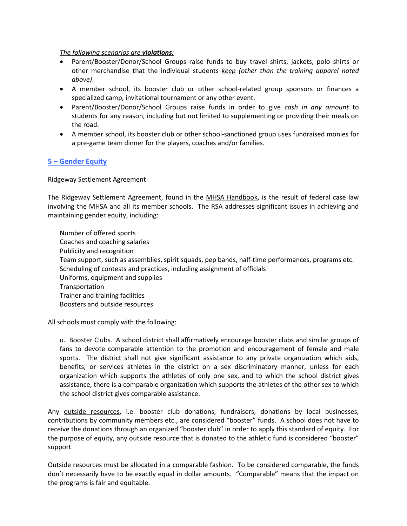#### *The following scenarios are violations:*

- Parent/Booster/Donor/School Groups raise funds to buy travel shirts, jackets, polo shirts or other merchandise that the individual students *keep (other than the training apparel noted above)*.
- A member school, its booster club or other school-related group sponsors or finances a specialized camp, invitational tournament or any other event.
- Parent/Booster/Donor/School Groups raise funds in order to give *cash in any amount* to students for any reason, including but not limited to supplementing or providing their meals on the road.
- A member school, its booster club or other school-sanctioned group uses fundraised monies for a pre-game team dinner for the players, coaches and/or families.

# **5 – Gender Equity**

#### Ridgeway Settlement Agreement

The Ridgeway Settlement Agreement, found in the MHSA Handbook, is the result of federal case law involving the MHSA and all its member schools. The RSA addresses significant issues in achieving and maintaining gender equity, including:

Number of offered sports Coaches and coaching salaries Publicity and recognition Team support, such as assemblies, spirit squads, pep bands, half-time performances, programs etc. Scheduling of contests and practices, including assignment of officials Uniforms, equipment and supplies Transportation Trainer and training facilities Boosters and outside resources

All schools must comply with the following:

u. Booster Clubs. A school district shall affirmatively encourage booster clubs and similar groups of fans to devote comparable attention to the promotion and encouragement of female and male sports. The district shall not give significant assistance to any private organization which aids, benefits, or services athletes in the district on a sex discriminatory manner, unless for each organization which supports the athletes of only one sex, and to which the school district gives assistance, there is a comparable organization which supports the athletes of the other sex to which the school district gives comparable assistance.

Any outside resources, i.e. booster club donations, fundraisers, donations by local businesses, contributions by community members etc., are considered "booster" funds. A school does not have to receive the donations through an organized "booster club" in order to apply this standard of equity. For the purpose of equity, any outside resource that is donated to the athletic fund is considered "booster" support.

Outside resources must be allocated in a comparable fashion. To be considered comparable, the funds don't necessarily have to be exactly equal in dollar amounts. "Comparable" means that the impact on the programs is fair and equitable.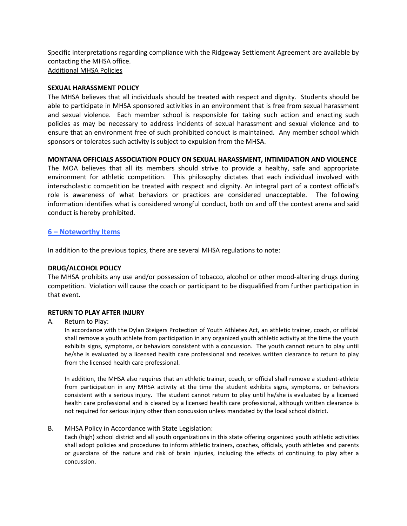Specific interpretations regarding compliance with the Ridgeway Settlement Agreement are available by contacting the MHSA office. Additional MHSA Policies

#### **SEXUAL HARASSMENT POLICY**

The MHSA believes that all individuals should be treated with respect and dignity. Students should be able to participate in MHSA sponsored activities in an environment that is free from sexual harassment and sexual violence. Each member school is responsible for taking such action and enacting such policies as may be necessary to address incidents of sexual harassment and sexual violence and to ensure that an environment free of such prohibited conduct is maintained. Any member school which sponsors or tolerates such activity is subject to expulsion from the MHSA.

#### **MONTANA OFFICIALS ASSOCIATION POLICY ON SEXUAL HARASSMENT, INTIMIDATION AND VIOLENCE**

The MOA believes that all its members should strive to provide a healthy, safe and appropriate environment for athletic competition. This philosophy dictates that each individual involved with interscholastic competition be treated with respect and dignity. An integral part of a contest official's role is awareness of what behaviors or practices are considered unacceptable. The following information identifies what is considered wrongful conduct, both on and off the contest arena and said conduct is hereby prohibited.

# **6 – Noteworthy Items**

In addition to the previous topics, there are several MHSA regulations to note:

# **DRUG/ALCOHOL POLICY**

The MHSA prohibits any use and/or possession of tobacco, alcohol or other mood-altering drugs during competition. Violation will cause the coach or participant to be disqualified from further participation in that event.

# **RETURN TO PLAY AFTER INJURY**

A. Return to Play:

In accordance with the Dylan Steigers Protection of Youth Athletes Act, an athletic trainer, coach, or official shall remove a youth athlete from participation in any organized youth athletic activity at the time the youth exhibits signs, symptoms, or behaviors consistent with a concussion. The youth cannot return to play until he/she is evaluated by a licensed health care professional and receives written clearance to return to play from the licensed health care professional.

In addition, the MHSA also requires that an athletic trainer, coach, or official shall remove a student-athlete from participation in any MHSA activity at the time the student exhibits signs, symptoms, or behaviors consistent with a serious injury. The student cannot return to play until he/she is evaluated by a licensed health care professional and is cleared by a licensed health care professional, although written clearance is not required for serious injury other than concussion unless mandated by the local school district.

#### B. MHSA Policy in Accordance with State Legislation:

Each (high) school district and all youth organizations in this state offering organized youth athletic activities shall adopt policies and procedures to inform athletic trainers, coaches, officials, youth athletes and parents or guardians of the nature and risk of brain injuries, including the effects of continuing to play after a concussion.